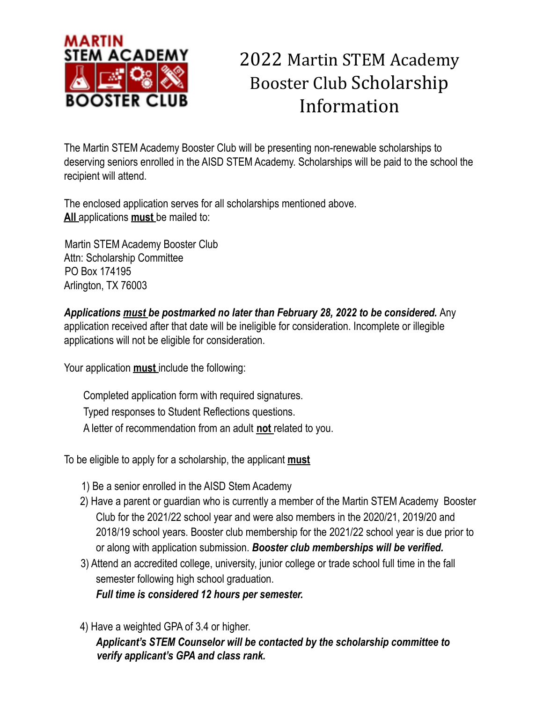

# 2022 Martin STEM Academy Booster Club Scholarship Information

The Martin STEM Academy Booster Club will be presenting non-renewable scholarships to deserving seniors enrolled in the AISD STEM Academy. Scholarships will be paid to the school the recipient will attend.

The enclosed application serves for all scholarships mentioned above. **All** applications **must** be mailed to:

Martin STEM Academy Booster Club Attn: Scholarship Committee PO Box 174195 Arlington, TX 76003

*Applications must be postmarked no later than February 28, 2022 to be considered.* Any application received after that date will be ineligible for consideration. Incomplete or illegible applications will not be eligible for consideration.

Your application **must** include the following:

Completed application form with required signatures. Typed responses to Student Reflections questions. A letter of recommendation from an adult **not** related to you.

To be eligible to apply for a scholarship, the applicant **must**

- 1) Be a senior enrolled in the AISD Stem Academy
- 2) Have a parent or guardian who is currently a member of the Martin STEM Academy Booster Club for the 2021/22 school year and were also members in the 2020/21, 2019/20 and 2018/19 school years. Booster club membership for the 2021/22 school year is due prior to or along with application submission. *Booster club memberships will be verified.*
- 3) Attend an accredited college, university, junior college or trade school full time in the fall semester following high school graduation. *Full time is considered 12 hours per semester.*
- 4) Have a weighted GPA of 3.4 or higher.

*Applicant's STEM Counselor will be contacted by the scholarship committee to verify applicant's GPA and class rank.*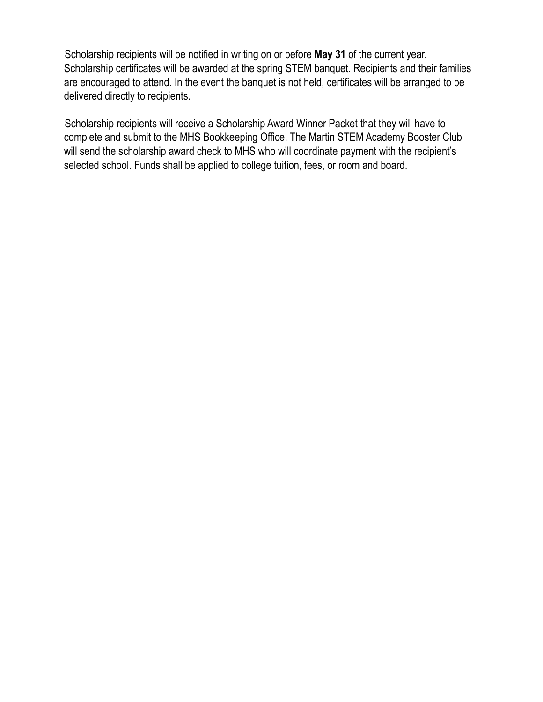Scholarship recipients will be notified in writing on or before **May 31** of the current year. Scholarship certificates will be awarded at the spring STEM banquet. Recipients and their families are encouraged to attend. In the event the banquet is not held, certificates will be arranged to be delivered directly to recipients.

Scholarship recipients will receive a Scholarship Award Winner Packet that they will have to complete and submit to the MHS Bookkeeping Office. The Martin STEM Academy Booster Club will send the scholarship award check to MHS who will coordinate payment with the recipient's selected school. Funds shall be applied to college tuition, fees, or room and board.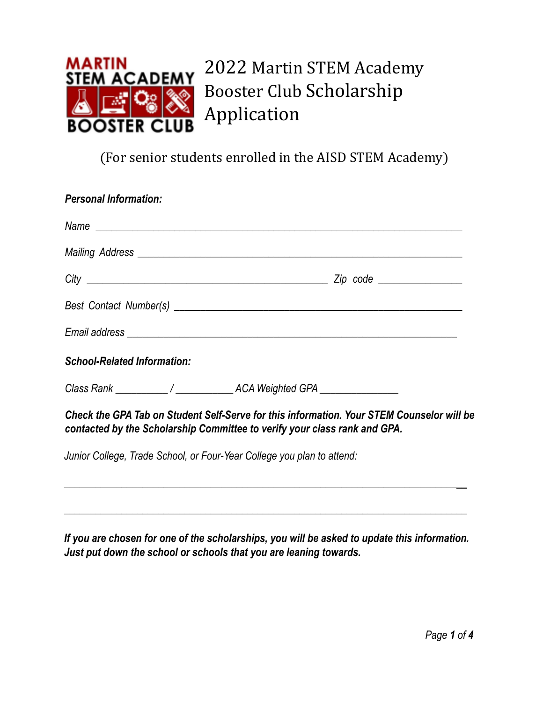

2022 Martin STEM Academy Booster Club Scholarship Application

(For senior students enrolled in the AISD STEM Academy)

| <b>Personal Information:</b>                                                                                                                                                                                                  |  |
|-------------------------------------------------------------------------------------------------------------------------------------------------------------------------------------------------------------------------------|--|
|                                                                                                                                                                                                                               |  |
|                                                                                                                                                                                                                               |  |
|                                                                                                                                                                                                                               |  |
| Best Contact Number(s) example and the set of the set of the set of the set of the set of the set of the set of the set of the set of the set of the set of the set of the set of the set of the set of the set of the set of |  |
|                                                                                                                                                                                                                               |  |
| <b>School-Related Information:</b>                                                                                                                                                                                            |  |
|                                                                                                                                                                                                                               |  |
| Check the GPA Tab on Student Self-Serve for this information. Your STEM Counselor will be<br>contacted by the Scholarship Committee to verify your class rank and GPA.                                                        |  |
| Junior College, Trade School, or Four-Year College you plan to attend:                                                                                                                                                        |  |

*If you are chosen for one of the scholarships, you will be asked to update this information. Just put down the school or schools that you are leaning towards.*

*\_\_\_\_\_\_\_\_\_\_\_\_\_\_\_\_\_\_\_\_\_\_\_\_\_\_\_\_\_\_\_\_\_\_\_\_\_\_\_\_\_\_\_\_\_\_\_\_\_\_\_\_\_\_\_\_\_\_\_\_\_\_\_\_\_\_\_\_\_\_\_\_\_\_\_\_\_*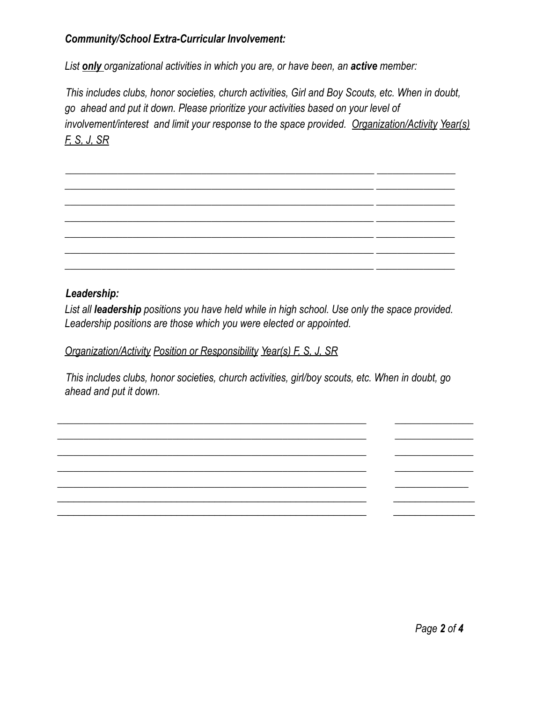## *Community/School Extra-Curricular Involvement:*

*List only organizational activities in which you are, or have been, an active member:*

*This includes clubs, honor societies, church activities, Girl and Boy Scouts, etc. When in doubt, go ahead and put it down. Please prioritize your activities based on your level of involvement/interest and limit your response to the space provided. Organization/Activity Year(s) F, S, J, SR*

*\_\_\_\_\_\_\_\_\_\_\_\_\_\_\_\_\_\_\_\_\_\_\_\_\_\_\_\_\_\_\_\_\_\_\_\_\_\_\_\_\_\_\_\_\_\_\_\_\_\_\_\_\_\_\_\_\_\_\_ \_\_\_\_\_\_\_\_\_\_\_\_\_\_\_ \_\_\_\_\_\_\_\_\_\_\_\_\_\_\_\_\_\_\_\_\_\_\_\_\_\_\_\_\_\_\_\_\_\_\_\_\_\_\_\_\_\_\_\_\_\_\_\_\_\_\_\_\_\_\_\_\_\_\_ \_\_\_\_\_\_\_\_\_\_\_\_\_\_\_ \_\_\_\_\_\_\_\_\_\_\_\_\_\_\_\_\_\_\_\_\_\_\_\_\_\_\_\_\_\_\_\_\_\_\_\_\_\_\_\_\_\_\_\_\_\_\_\_\_\_\_\_\_\_\_\_\_\_\_ \_\_\_\_\_\_\_\_\_\_\_\_\_\_\_ \_\_\_\_\_\_\_\_\_\_\_\_\_\_\_\_\_\_\_\_\_\_\_\_\_\_\_\_\_\_\_\_\_\_\_\_\_\_\_\_\_\_\_\_\_\_\_\_\_\_\_\_\_\_\_\_\_\_\_ \_\_\_\_\_\_\_\_\_\_\_\_\_\_\_ \_\_\_\_\_\_\_\_\_\_\_\_\_\_\_\_\_\_\_\_\_\_\_\_\_\_\_\_\_\_\_\_\_\_\_\_\_\_\_\_\_\_\_\_\_\_\_\_\_\_\_\_\_\_\_\_\_\_\_ \_\_\_\_\_\_\_\_\_\_\_\_\_\_\_ \_\_\_\_\_\_\_\_\_\_\_\_\_\_\_\_\_\_\_\_\_\_\_\_\_\_\_\_\_\_\_\_\_\_\_\_\_\_\_\_\_\_\_\_\_\_\_\_\_\_\_\_\_\_\_\_\_\_\_ \_\_\_\_\_\_\_\_\_\_\_\_\_\_\_ \_\_\_\_\_\_\_\_\_\_\_\_\_\_\_\_\_\_\_\_\_\_\_\_\_\_\_\_\_\_\_\_\_\_\_\_\_\_\_\_\_\_\_\_\_\_\_\_\_\_\_\_\_\_\_\_\_\_\_ \_\_\_\_\_\_\_\_\_\_\_\_\_\_\_*

#### *Leadership:*

*List all leadership positions you have held while in high school. Use only the space provided. Leadership positions are those which you were elected or appointed.*

#### *Organization/Activity Position or Responsibility Year(s) F, S, J, SR*

*This includes clubs, honor societies, church activities, girl/boy scouts, etc. When in doubt, go ahead and put it down.*

*\_\_\_\_\_\_\_\_\_\_\_\_\_\_\_\_\_\_\_\_\_\_\_\_\_\_\_\_\_\_\_\_\_\_\_\_\_\_\_\_\_\_\_\_\_\_\_\_\_\_\_\_\_\_\_\_\_\_\_ \_\_\_\_\_\_\_\_\_\_\_\_\_\_\_ \_\_\_\_\_\_\_\_\_\_\_\_\_\_\_\_\_\_\_\_\_\_\_\_\_\_\_\_\_\_\_\_\_\_\_\_\_\_\_\_\_\_\_\_\_\_\_\_\_\_\_\_\_\_\_\_\_\_\_ \_\_\_\_\_\_\_\_\_\_\_\_\_\_\_ \_\_\_\_\_\_\_\_\_\_\_\_\_\_\_\_\_\_\_\_\_\_\_\_\_\_\_\_\_\_\_\_\_\_\_\_\_\_\_\_\_\_\_\_\_\_\_\_\_\_\_\_\_\_\_\_\_\_\_ \_\_\_\_\_\_\_\_\_\_\_\_\_\_\_ \_\_\_\_\_\_\_\_\_\_\_\_\_\_\_\_\_\_\_\_\_\_\_\_\_\_\_\_\_\_\_\_\_\_\_\_\_\_\_\_\_\_\_\_\_\_\_\_\_\_\_\_\_\_\_\_\_\_\_ \_\_\_\_\_\_\_\_\_\_\_\_\_\_\_ \_\_\_\_\_\_\_\_\_\_\_\_\_\_\_\_\_\_\_\_\_\_\_\_\_\_\_\_\_\_\_\_\_\_\_\_\_\_\_\_\_\_\_\_\_\_\_\_\_\_\_\_\_\_\_\_\_\_\_ \_\_\_\_\_\_\_\_\_\_\_\_\_\_*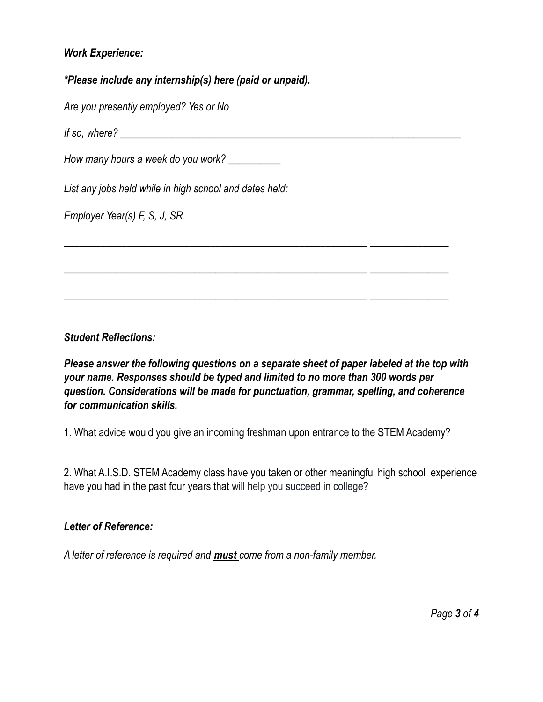### *Work Experience:*

#### *\*Please include any internship(s) here (paid or unpaid).*

*Are you presently employed? Yes or No*

*If so, where? \_\_\_\_\_\_\_\_\_\_\_\_\_\_\_\_\_\_\_\_\_\_\_\_\_\_\_\_\_\_\_\_\_\_\_\_\_\_\_\_\_\_\_\_\_\_\_\_\_\_\_\_\_\_\_\_\_\_\_\_\_\_\_\_\_*

*How many hours a week do you work? \_\_\_\_\_\_\_\_\_\_*

*List any jobs held while in high school and dates held:*

*Employer Year(s) F, S, J, SR*

*Student Reflections:*

*Please answer the following questions on a separate sheet of paper labeled at the top with your name. Responses should be typed and limited to no more than 300 words per question. Considerations will be made for punctuation, grammar, spelling, and coherence for communication skills.*

*\_\_\_\_\_\_\_\_\_\_\_\_\_\_\_\_\_\_\_\_\_\_\_\_\_\_\_\_\_\_\_\_\_\_\_\_\_\_\_\_\_\_\_\_\_\_\_\_\_\_\_\_\_\_\_\_\_\_ \_\_\_\_\_\_\_\_\_\_\_\_\_\_\_*

*\_\_\_\_\_\_\_\_\_\_\_\_\_\_\_\_\_\_\_\_\_\_\_\_\_\_\_\_\_\_\_\_\_\_\_\_\_\_\_\_\_\_\_\_\_\_\_\_\_\_\_\_\_\_\_\_\_\_ \_\_\_\_\_\_\_\_\_\_\_\_\_\_\_*

*\_\_\_\_\_\_\_\_\_\_\_\_\_\_\_\_\_\_\_\_\_\_\_\_\_\_\_\_\_\_\_\_\_\_\_\_\_\_\_\_\_\_\_\_\_\_\_\_\_\_\_\_\_\_\_\_\_\_ \_\_\_\_\_\_\_\_\_\_\_\_\_\_\_*

1. What advice would you give an incoming freshman upon entrance to the STEM Academy?

2. What A.I.S.D. STEM Academy class have you taken or other meaningful high school experience have you had in the past four years that will help you succeed in college?

#### *Letter of Reference:*

*A letter of reference is required and must come from a non-family member.*